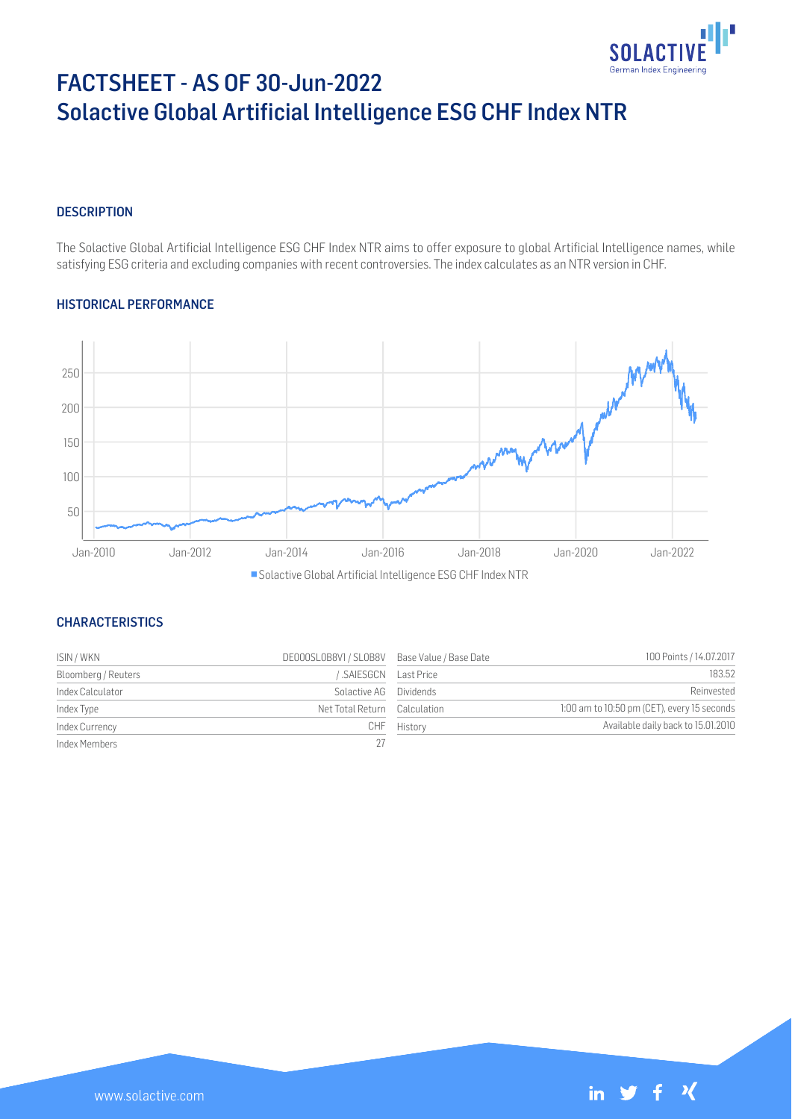

# FACTSHEET - AS OF 30-Jun-2022 Solactive Global Artificial Intelligence ESG CHF Index NTR

#### **DESCRIPTION**

The Solactive Global Artificial Intelligence ESG CHF Index NTR aims to offer exposure to global Artificial Intelligence names, while satisfying ESG criteria and excluding companies with recent controversies. The index calculates as an NTR version in CHF.

#### HISTORICAL PERFORMANCE



■ Solactive Global Artificial Intelligence ESG CHF Index NTR

## **CHARACTERISTICS**

| ISIN / WKN          | DE000SL0B8V1 / SL0B8V Base Value / Base Date |             | 100 Points / 14.07.2017                     |
|---------------------|----------------------------------------------|-------------|---------------------------------------------|
| Bloomberg / Reuters | SAIESGCN Last Price                          |             | 183.52                                      |
| Index Calculator    | Solactive AG Dividends                       |             | Reinvested                                  |
| Index Type          | Net Total Return Calculation                 |             | 1:00 am to 10:50 pm (CET), every 15 seconds |
| Index Currency      |                                              | CHF History | Available daily back to 15.01.2010          |
| Index Members       | 27                                           |             |                                             |

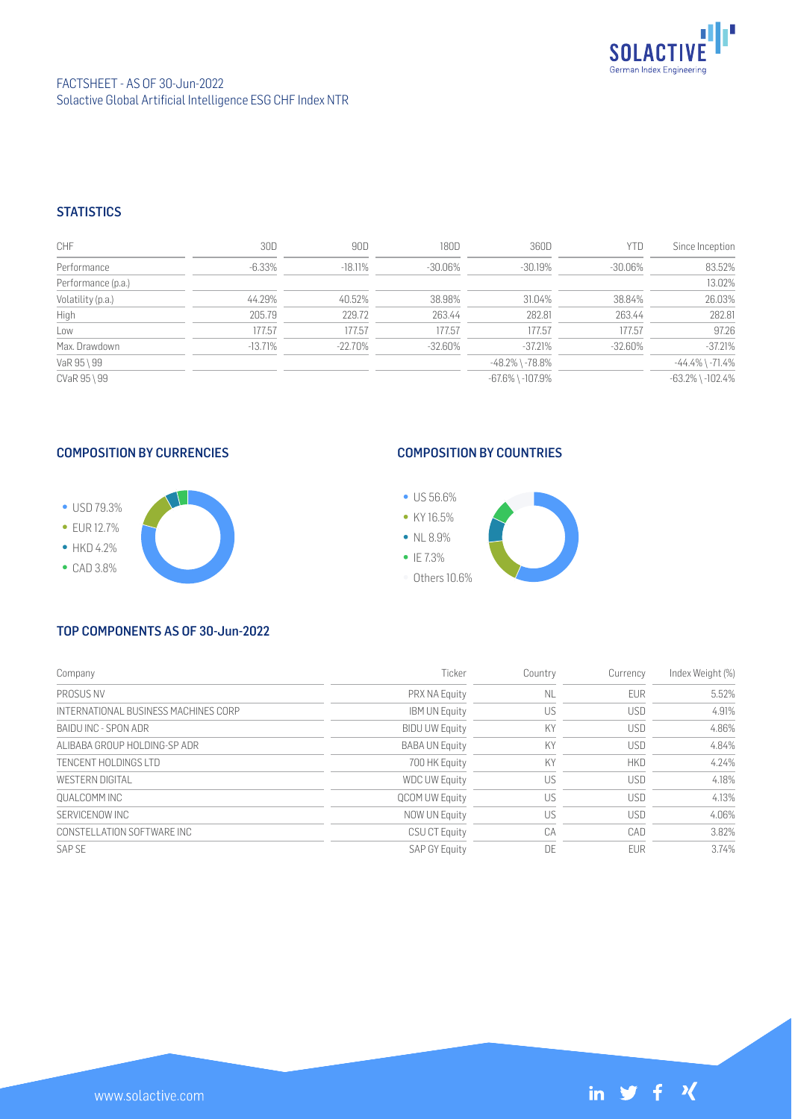

## FACTSHEET - AS OF 30-Jun-2022 Solactive Global Artificial Intelligence ESG CHF Index NTR

## **STATISTICS**

| <b>CHF</b>         | 30D       | 90D        | 180D       | 360D                   | <b>YTD</b> | Since Inception        |
|--------------------|-----------|------------|------------|------------------------|------------|------------------------|
| Performance        | $-6.33\%$ | $-18.11\%$ | -30.06%    | $-30.19%$              | $-30.06\%$ | 83.52%                 |
| Performance (p.a.) |           |            |            |                        |            | 13.02%                 |
| Volatility (p.a.)  | 44.29%    | 40.52%     | 38.98%     | 31.04%                 | 38.84%     | 26.03%                 |
| High               | 205.79    | 229.72     | 263.44     | 282.81                 | 263.44     | 282.81                 |
| Low                | 177.57    | 177.57     | 177.57     | 177.57                 | 177.57     | 97.26                  |
| Max. Drawdown      | $-13.71%$ | $-22.70%$  | $-32.60\%$ | $-37.21%$              | $-32.60\%$ | $-37.21%$              |
| VaR 95 \ 99        |           |            |            | $-48.2\%$ \ $-78.8\%$  |            | $-44.4\%$ \ $-71.4\%$  |
| CVaR 95 \ 99       |           |            |            | $-67.6\%$ \ $-107.9\%$ |            | $-63.2\%$ \ $-102.4\%$ |

#### COMPOSITION BY CURRENCIES



# COMPOSITION BY COUNTRIES



#### TOP COMPONENTS AS OF 30-Jun-2022

| Company                              | Ticker                | Country   | Currency   | Index Weight (%) |
|--------------------------------------|-----------------------|-----------|------------|------------------|
| PROSUS NV                            | PRX NA Equity         | <b>NL</b> | <b>EUR</b> | 5.52%            |
| INTERNATIONAL BUSINESS MACHINES CORP | <b>IBM UN Equity</b>  | US        | <b>USD</b> | 4.91%            |
| BAIDU INC - SPON ADR                 | <b>BIDU UW Equity</b> | KY        | <b>USD</b> | 4.86%            |
| ALIBABA GROUP HOLDING-SP ADR         | <b>BABA UN Equity</b> | KY        | <b>USD</b> | 4.84%            |
| TENCENT HOLDINGS LTD                 | 700 HK Equity         | KY        | <b>HKD</b> | 4.24%            |
| WESTERN DIGITAL                      | <b>WDC UW Equity</b>  | US        | <b>USD</b> | 4.18%            |
| OUALCOMM INC                         | <b>QCOM UW Equity</b> | US        | <b>USD</b> | 4.13%            |
| SERVICENOW INC                       | NOW UN Equity         | US        | <b>USD</b> | 4.06%            |
| CONSTELLATION SOFTWARE INC           | <b>CSU CT Equity</b>  | CA        | CAD        | 3.82%            |
| SAP SF                               | <b>SAP GY Equity</b>  | DE        | <b>FUR</b> | 3.74%            |